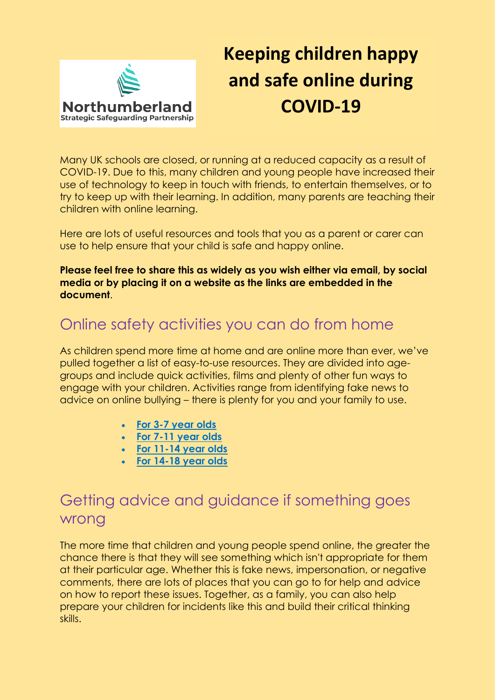

# **Keeping children happy and safe online during COVID-19**

Many UK schools are closed, or running at a reduced capacity as a result of COVID-19. Due to this, many children and young people have increased their use of technology to keep in touch with friends, to entertain themselves, or to try to keep up with their learning. In addition, many parents are teaching their children with online learning.

Here are lots of useful resources and tools that you as a parent or carer can use to help ensure that your child is safe and happy online.

**Please feel free to share this as widely as you wish either via email, by social media or by placing it on a website as the links are embedded in the document**.

#### [Online safety activities you can do from home](https://childnet.createsend1.com/t/j-l-qpikut-l-y/)

As children spend more time at home and are online more than ever, we've pulled together a list of easy-to-use resources. They are divided into agegroups and include quick activities, films and plenty of other fun ways to engage with your children. Activities range from identifying fake news to advice on online bullying – there is plenty for you and your family to use.

- **[For 3-7 year olds](https://childnet.createsend1.com/t/j-l-qpikut-l-j/)**
- **[For 7-11 year olds](https://childnet.createsend1.com/t/j-l-qpikut-l-t/)**
- **[For 11-14 year olds](https://childnet.createsend1.com/t/j-l-qpikut-l-i/)**
- **[For 14-18 year olds](https://childnet.createsend1.com/t/j-l-qpikut-l-d/)**

## Getting advice and guidance if something goes wrong

The more time that children and young people spend online, the greater the chance there is that they will see something which isn't appropriate for them at their particular age. Whether this is fake news, impersonation, or negative comments, there are lots of places that you can go to for help and advice on how to report these issues. Together, as a family, you can also help prepare your children for incidents like this and build their critical thinking skills.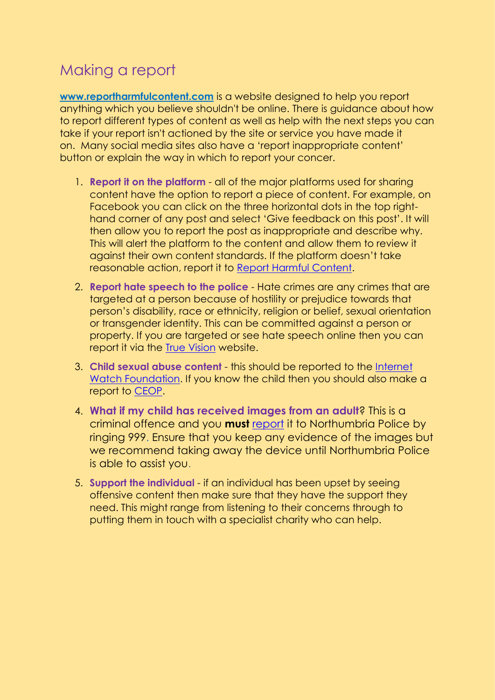## Making a report

**[www.reportharmfulcontent.com](https://childnet.createsend1.com/t/j-l-qpikut-l-k/)** is a website designed to help you report anything which you believe shouldn't be online. There is guidance about how to report different types of content as well as help with the next steps you can take if your report isn't actioned by the site or service you have made it on. Many social media sites also have a 'report inappropriate content' button or explain the way in which to report your concer.

- 1. **Report it on the platform** all of the major platforms used for sharing content have the option to report a piece of content. For example, on Facebook you can click on the three horizontal dots in the top righthand corner of any post and select 'Give feedback on this post'. It will then allow you to report the post as inappropriate and describe why. This will alert the platform to the content and allow them to review it against their own content standards. If the platform doesn't take reasonable action, report it to [Report Harmful Content.](https://reportharmfulcontent.com/)
- 2. **Report hate speech to the police** Hate crimes are any crimes that are targeted at a person because of hostility or prejudice towards that person's disability, race or ethnicity, religion or belief, sexual orientation or transgender identity. This can be committed against a person or property. If you are targeted or see hate speech online then you can report it via the [True Vision](http://report-it.org.uk/your_police_force) website.
- 3. **Child sexual abuse content** this should be reported to the [Internet](https://www.iwf.org.uk/)  [Watch Foundation.](https://www.iwf.org.uk/) If you know the child then you should also make a report to [CEOP.](https://www.ceop.police.uk/safety-centre/)
- 4. **What if my child has received images from an adult**? This is a criminal offence and you **must** [report](https://beta.northumbria.police.uk/our-services/report-an-incident/report-an-incident/) it to Northumbria Police by ringing 999. Ensure that you keep any evidence of the images but we recommend taking away the device until Northumbria Police is able to assist you.
- 5. **Support the individual** if an individual has been upset by seeing offensive content then make sure that they have the support they need. This might range from listening to their concerns through to putting them in touch with a specialist charity who can help.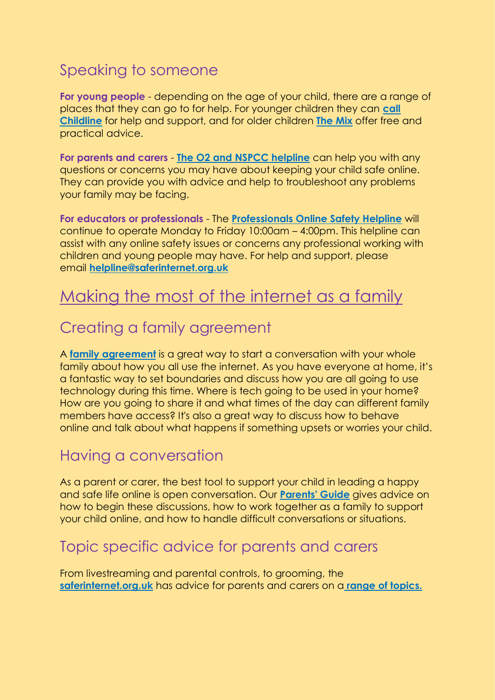## Speaking to someone

**For young people** - depending on the age of your child, there are a range of places that they can go to for help. For younger children they can **[call](https://childnet.createsend1.com/t/j-l-qpikut-l-u/)  [Childline](https://childnet.createsend1.com/t/j-l-qpikut-l-u/)** for help and support, and for older children **[The Mix](https://childnet.createsend1.com/t/j-l-qpikut-l-o/)** offer free and practical advice.

**For parents and carers** - **[The O2 and NSPCC helpline](https://childnet.createsend1.com/t/j-l-qpikut-l-c/)** can help you with any questions or concerns you may have about keeping your child safe online. They can provide you with advice and help to troubleshoot any problems your family may be facing.

**For educators or professionals** - The **[Professionals Online Safety Helpline](https://childnet.createsend1.com/t/j-l-qpikut-l-q/)** will continue to operate Monday to Friday 10:00am – 4:00pm. This helpline can assist with any online safety issues or concerns any professional working with children and young people may have. For help and support, please email **[helpline@saferinternet.org.uk](mailto:helpline@saferinternet.org.uk)**

## [Making the most of the internet as a family](https://childnet.createsend1.com/t/j-l-qpikut-l-a/)

#### [Creating a family agreement](https://childnet.createsend1.com/t/j-l-qpikut-l-f/)

A **[family agreement](https://childnet.createsend1.com/t/j-l-qpikut-l-z/)** is a great way to start a conversation with your whole family about how you all use the internet. As you have everyone at home, it's a fantastic way to set boundaries and discuss how you are all going to use technology during this time. Where is tech going to be used in your home? How are you going to share it and what times of the day can different family members have access? It's also a great way to discuss how to behave online and talk about what happens if something upsets or worries your child.

#### [Having a conversation](https://childnet.createsend1.com/t/j-l-qpikut-l-v/)

As a parent or carer, the best tool to support your child in leading a happy and safe life online is open conversation. Our **[Parents' Guide](https://childnet.createsend1.com/t/j-l-qpikut-l-e/)** gives advice on how to begin these discussions, how to work together as a family to support your child online, and how to handle difficult conversations or situations.

#### [Topic specific advice for parents and carers](https://childnet.createsend1.com/t/j-l-qpikut-l-s/)

From livestreaming and parental controls, to grooming, the **[saferinternet.org.uk](https://www.saferinternet.org.uk/)** has advice for parents and carers on a **[range of topics.](https://childnet.createsend1.com/t/j-l-qpikut-l-g/)**